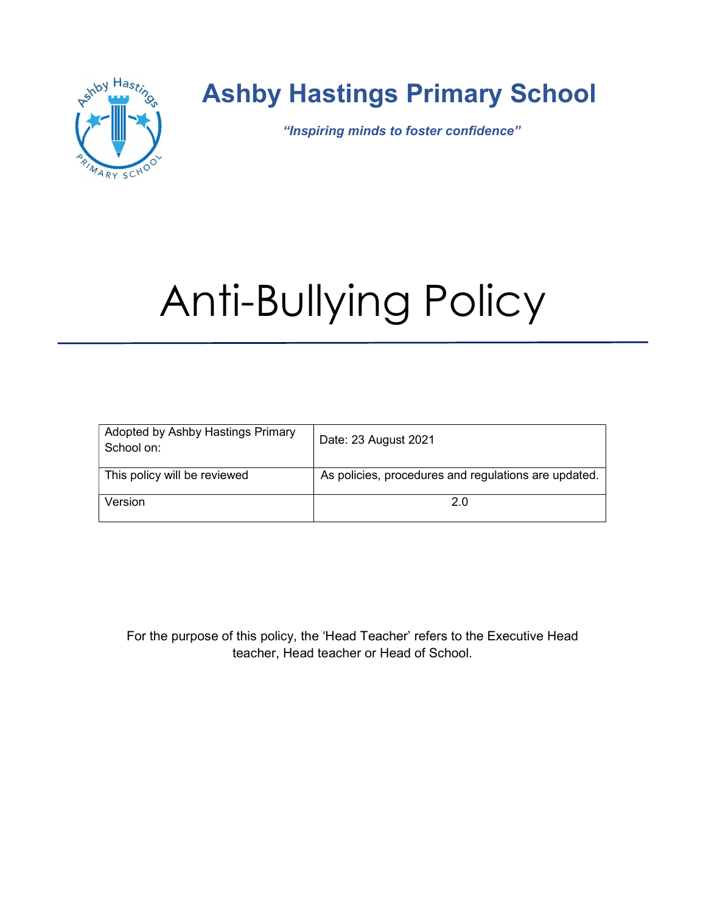

## Ashby Hastings Primary School

"Inspiring minds to foster confidence"

# Anti-Bullying Policy

| Adopted by Ashby Hastings Primary<br>School on: | Date: 23 August 2021                                 |
|-------------------------------------------------|------------------------------------------------------|
| This policy will be reviewed                    | As policies, procedures and regulations are updated. |
| Version                                         | 2.0                                                  |

For the purpose of this policy, the 'Head Teacher' refers to the Executive Head teacher, Head teacher or Head of School.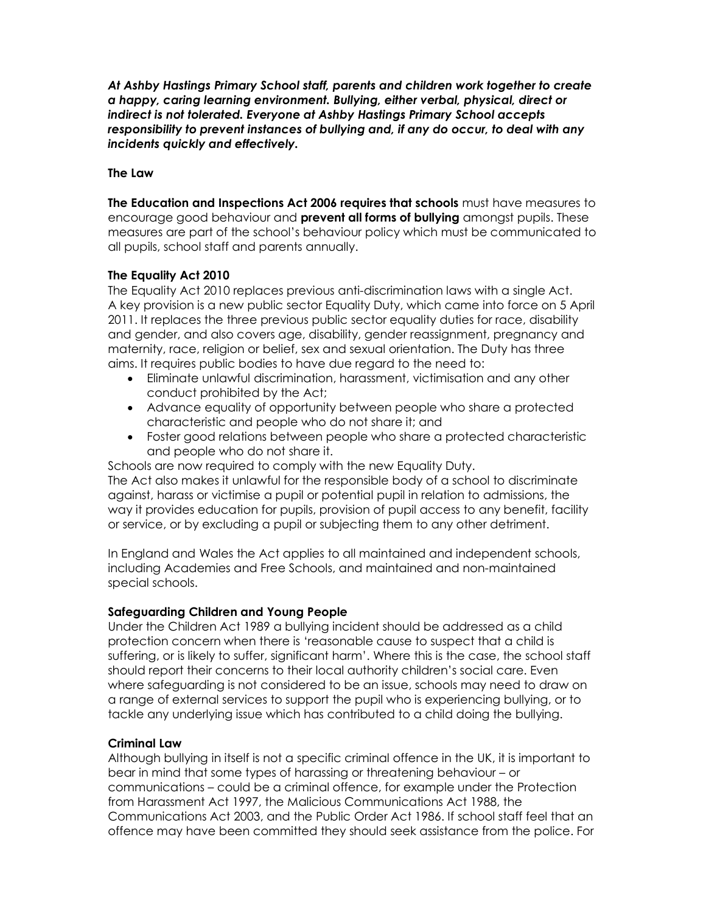At Ashby Hastings Primary School staff, parents and children work together to create a happy, caring learning environment. Bullying, either verbal, physical, direct or indirect is not tolerated. Everyone at Ashby Hastings Primary School accepts responsibility to prevent instances of bullying and, if any do occur, to deal with any incidents quickly and effectively.

#### The Law

**The Education and Inspections Act 2006 requires that schools** must have measures to encourage good behaviour and **prevent all forms of bullying** amongst pupils. These measures are part of the school's behaviour policy which must be communicated to all pupils, school staff and parents annually.

#### The Equality Act 2010

The Equality Act 2010 replaces previous anti-discrimination laws with a single Act. A key provision is a new public sector Equality Duty, which came into force on 5 April 2011. It replaces the three previous public sector equality duties for race, disability and gender, and also covers age, disability, gender reassignment, pregnancy and maternity, race, religion or belief, sex and sexual orientation. The Duty has three aims. It requires public bodies to have due regard to the need to:

- Eliminate unlawful discrimination, harassment, victimisation and any other conduct prohibited by the Act;
- Advance equality of opportunity between people who share a protected characteristic and people who do not share it; and
- Foster good relations between people who share a protected characteristic and people who do not share it.

Schools are now required to comply with the new Equality Duty. The Act also makes it unlawful for the responsible body of a school to discriminate against, harass or victimise a pupil or potential pupil in relation to admissions, the way it provides education for pupils, provision of pupil access to any benefit, facility or service, or by excluding a pupil or subjecting them to any other detriment.

In England and Wales the Act applies to all maintained and independent schools, including Academies and Free Schools, and maintained and non-maintained special schools.

#### Safeguarding Children and Young People

Under the Children Act 1989 a bullying incident should be addressed as a child protection concern when there is 'reasonable cause to suspect that a child is suffering, or is likely to suffer, significant harm'. Where this is the case, the school staff should report their concerns to their local authority children's social care. Even where safeguarding is not considered to be an issue, schools may need to draw on a range of external services to support the pupil who is experiencing bullying, or to tackle any underlying issue which has contributed to a child doing the bullying.

#### Criminal Law

Although bullying in itself is not a specific criminal offence in the UK, it is important to bear in mind that some types of harassing or threatening behaviour – or communications – could be a criminal offence, for example under the Protection from Harassment Act 1997, the Malicious Communications Act 1988, the Communications Act 2003, and the Public Order Act 1986. If school staff feel that an offence may have been committed they should seek assistance from the police. For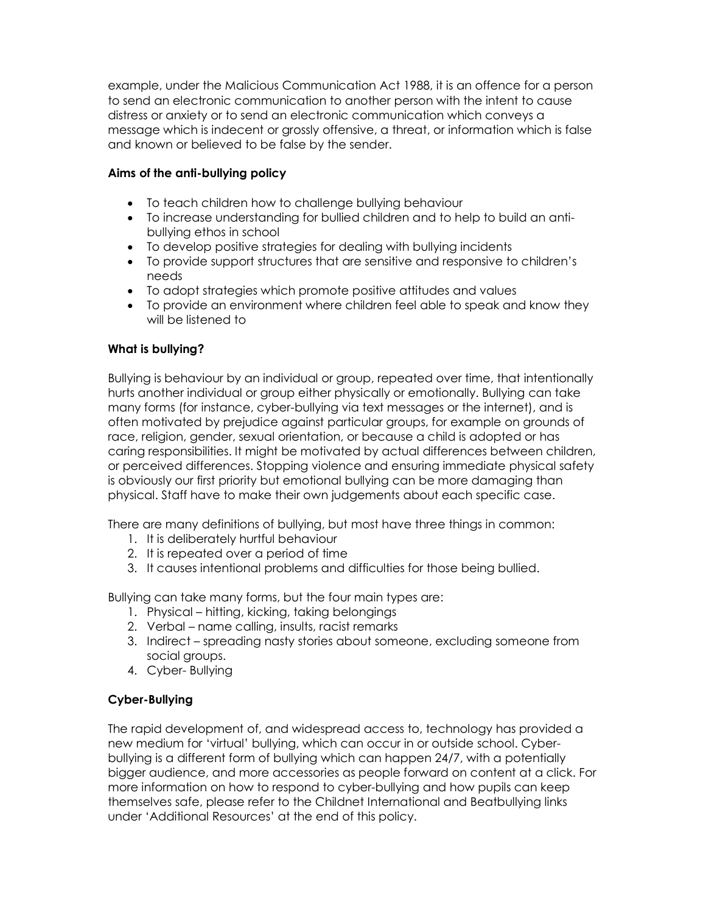example, under the Malicious Communication Act 1988, it is an offence for a person to send an electronic communication to another person with the intent to cause distress or anxiety or to send an electronic communication which conveys a message which is indecent or grossly offensive, a threat, or information which is false and known or believed to be false by the sender.

#### Aims of the anti-bullying policy

- To teach children how to challenge bullying behaviour
- To increase understanding for bullied children and to help to build an antibullying ethos in school
- To develop positive strategies for dealing with bullying incidents
- To provide support structures that are sensitive and responsive to children's needs
- To adopt strategies which promote positive attitudes and values
- To provide an environment where children feel able to speak and know they will be listened to

#### What is bullying?

Bullying is behaviour by an individual or group, repeated over time, that intentionally hurts another individual or group either physically or emotionally. Bullying can take many forms (for instance, cyber-bullying via text messages or the internet), and is often motivated by prejudice against particular groups, for example on grounds of race, religion, gender, sexual orientation, or because a child is adopted or has caring responsibilities. It might be motivated by actual differences between children, or perceived differences. Stopping violence and ensuring immediate physical safety is obviously our first priority but emotional bullying can be more damaging than physical. Staff have to make their own judgements about each specific case.

There are many definitions of bullying, but most have three things in common:

- 1. It is deliberately hurtful behaviour
- 2. It is repeated over a period of time
- 3. It causes intentional problems and difficulties for those being bullied.

Bullying can take many forms, but the four main types are:

- 1. Physical hitting, kicking, taking belongings
- 2. Verbal name calling, insults, racist remarks
- 3. Indirect spreading nasty stories about someone, excluding someone from social groups.
- 4. Cyber- Bullying

#### Cyber-Bullying

The rapid development of, and widespread access to, technology has provided a new medium for 'virtual' bullying, which can occur in or outside school. Cyberbullying is a different form of bullying which can happen 24/7, with a potentially bigger audience, and more accessories as people forward on content at a click. For more information on how to respond to cyber-bullying and how pupils can keep themselves safe, please refer to the Childnet International and Beatbullying links under 'Additional Resources' at the end of this policy.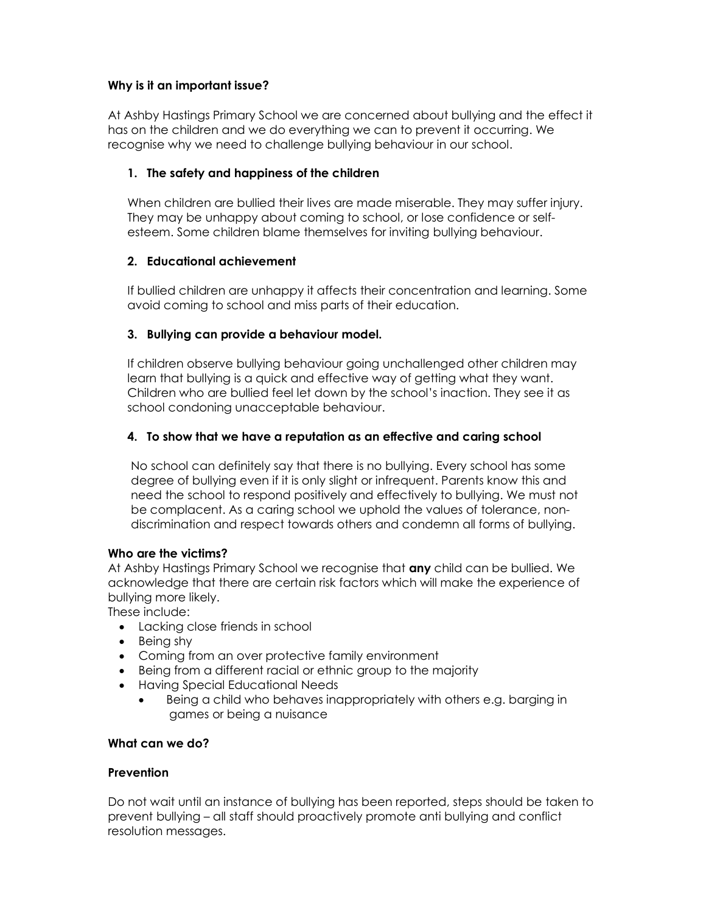#### Why is it an important issue?

At Ashby Hastings Primary School we are concerned about bullying and the effect it has on the children and we do everything we can to prevent it occurring. We recognise why we need to challenge bullying behaviour in our school.

#### 1. The safety and happiness of the children

When children are bullied their lives are made miserable. They may suffer injury. They may be unhappy about coming to school, or lose confidence or selfesteem. Some children blame themselves for inviting bullying behaviour.

#### 2. Educational achievement

If bullied children are unhappy it affects their concentration and learning. Some avoid coming to school and miss parts of their education.

#### 3. Bullying can provide a behaviour model.

If children observe bullying behaviour going unchallenged other children may learn that bullying is a quick and effective way of getting what they want. Children who are bullied feel let down by the school's inaction. They see it as school condoning unacceptable behaviour.

#### 4. To show that we have a reputation as an effective and caring school

No school can definitely say that there is no bullying. Every school has some degree of bullying even if it is only slight or infrequent. Parents know this and need the school to respond positively and effectively to bullying. We must not be complacent. As a caring school we uphold the values of tolerance, nondiscrimination and respect towards others and condemn all forms of bullying.

#### Who are the victims?

At Ashby Hastings Primary School we recognise that **any** child can be bullied. We acknowledge that there are certain risk factors which will make the experience of bullying more likely.

These include:

- Lacking close friends in school
- $\bullet$  Being shy
- Coming from an over protective family environment
- Being from a different racial or ethnic group to the majority
- Having Special Educational Needs
	- Being a child who behaves inappropriately with others e.g. barging in games or being a nuisance

#### What can we do?

#### **Prevention**

Do not wait until an instance of bullying has been reported, steps should be taken to prevent bullying – all staff should proactively promote anti bullying and conflict resolution messages.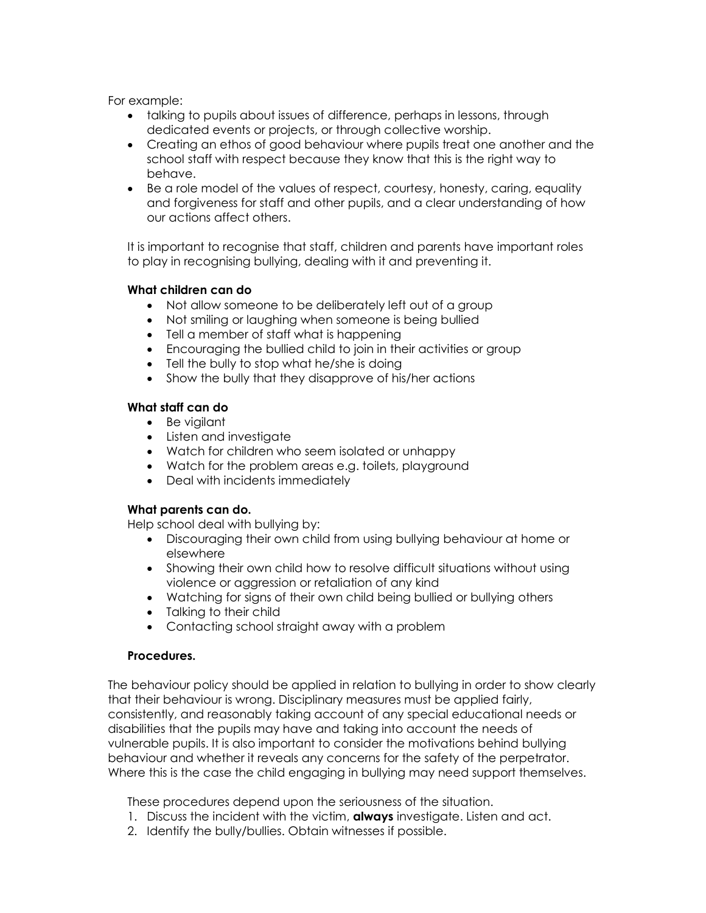For example:

- talking to pupils about issues of difference, perhaps in lessons, through dedicated events or projects, or through collective worship.
- Creating an ethos of good behaviour where pupils treat one another and the school staff with respect because they know that this is the right way to behave.
- Be a role model of the values of respect, courtesy, honesty, caring, equality and forgiveness for staff and other pupils, and a clear understanding of how our actions affect others.

It is important to recognise that staff, children and parents have important roles to play in recognising bullying, dealing with it and preventing it.

#### What children can do

- Not allow someone to be deliberately left out of a group
- Not smiling or laughing when someone is being bullied
- Tell a member of staff what is happening
- Encouraging the bullied child to join in their activities or group
- Tell the bully to stop what he/she is doing
- Show the bully that they disapprove of his/her actions

#### What staff can do

- Be vigilant
- Listen and investigate
- Watch for children who seem isolated or unhappy
- Watch for the problem areas e.g. toilets, playground
- Deal with incidents immediately

#### What parents can do.

Help school deal with bullying by:

- Discouraging their own child from using bullying behaviour at home or elsewhere
- Showing their own child how to resolve difficult situations without using violence or aggression or retaliation of any kind
- Watching for signs of their own child being bullied or bullying others
- Talking to their child
- Contacting school straight away with a problem

#### Procedures.

The behaviour policy should be applied in relation to bullying in order to show clearly that their behaviour is wrong. Disciplinary measures must be applied fairly, consistently, and reasonably taking account of any special educational needs or disabilities that the pupils may have and taking into account the needs of vulnerable pupils. It is also important to consider the motivations behind bullying behaviour and whether it reveals any concerns for the safety of the perpetrator. Where this is the case the child engaging in bullying may need support themselves.

These procedures depend upon the seriousness of the situation.

- 1. Discuss the incident with the victim, **always** investigate. Listen and act.
- 2. Identify the bully/bullies. Obtain witnesses if possible.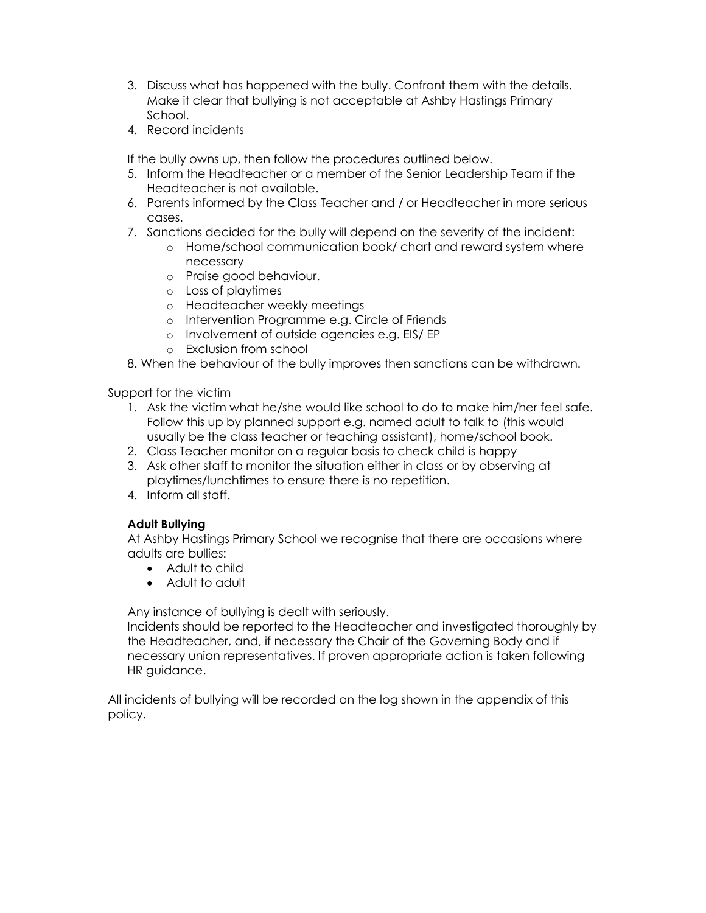- 3. Discuss what has happened with the bully. Confront them with the details. Make it clear that bullying is not acceptable at Ashby Hastings Primary School.
- 4. Record incidents

If the bully owns up, then follow the procedures outlined below.

- 5. Inform the Headteacher or a member of the Senior Leadership Team if the Headteacher is not available.
- 6. Parents informed by the Class Teacher and / or Headteacher in more serious cases.
- 7. Sanctions decided for the bully will depend on the severity of the incident:
	- o Home/school communication book/ chart and reward system where necessary
	- o Praise good behaviour.
	- o Loss of playtimes
	- o Headteacher weekly meetings
	- o Intervention Programme e.g. Circle of Friends
	- o Involvement of outside agencies e.g. EIS/ EP
	- o Exclusion from school
- 8. When the behaviour of the bully improves then sanctions can be withdrawn.

Support for the victim

- 1. Ask the victim what he/she would like school to do to make him/her feel safe. Follow this up by planned support e.g. named adult to talk to (this would usually be the class teacher or teaching assistant), home/school book.
- 2. Class Teacher monitor on a regular basis to check child is happy
- 3. Ask other staff to monitor the situation either in class or by observing at playtimes/lunchtimes to ensure there is no repetition.
- 4. Inform all staff.

#### Adult Bullying

At Ashby Hastings Primary School we recognise that there are occasions where adults are bullies:

- Adult to child
- Adult to adult

Any instance of bullying is dealt with seriously.

Incidents should be reported to the Headteacher and investigated thoroughly by the Headteacher, and, if necessary the Chair of the Governing Body and if necessary union representatives. If proven appropriate action is taken following HR guidance.

All incidents of bullying will be recorded on the log shown in the appendix of this policy.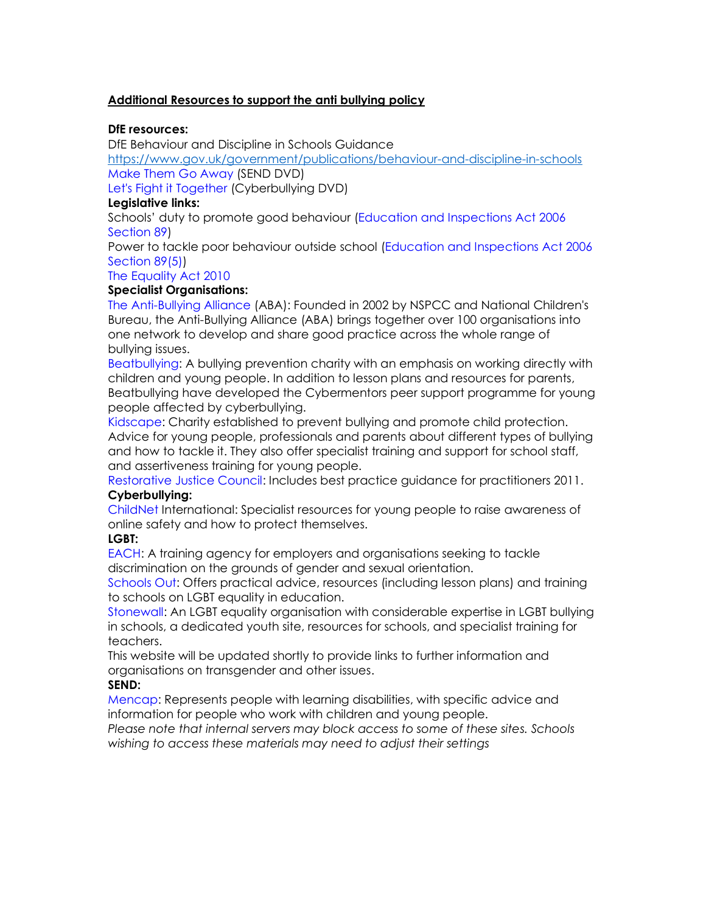#### Additional Resources to support the anti bullying policy

#### DfE resources:

DfE Behaviour and Discipline in Schools Guidance

https://www.gov.uk/government/publications/behaviour-and-discipline-in-schools Make Them Go Away (SEND DVD)

Let's Fight it Together (Cyberbullying DVD)

#### Legislative links:

Schools' duty to promote good behaviour (Education and Inspections Act 2006 Section 89)

Power to tackle poor behaviour outside school (Education and Inspections Act 2006 Section 89(5))

#### The Equality Act 2010

#### Specialist Organisations:

The Anti-Bullying Alliance (ABA): Founded in 2002 by NSPCC and National Children's Bureau, the Anti-Bullying Alliance (ABA) brings together over 100 organisations into one network to develop and share good practice across the whole range of bullying issues.

Beatbullying: A bullying prevention charity with an emphasis on working directly with children and young people. In addition to lesson plans and resources for parents, Beatbullying have developed the Cybermentors peer support programme for young people affected by cyberbullying.

Kidscape: Charity established to prevent bullying and promote child protection. Advice for young people, professionals and parents about different types of bullying and how to tackle it. They also offer specialist training and support for school staff, and assertiveness training for young people.

Restorative Justice Council: Includes best practice guidance for practitioners 2011. Cyberbullying:

#### ChildNet International: Specialist resources for young people to raise awareness of online safety and how to protect themselves.

#### LGBT:

EACH: A training agency for employers and organisations seeking to tackle discrimination on the grounds of gender and sexual orientation.

Schools Out: Offers practical advice, resources (including lesson plans) and training to schools on LGBT equality in education.

Stonewall: An LGBT equality organisation with considerable expertise in LGBT bullying in schools, a dedicated youth site, resources for schools, and specialist training for teachers.

This website will be updated shortly to provide links to further information and organisations on transgender and other issues.

#### SEND:

Mencap: Represents people with learning disabilities, with specific advice and information for people who work with children and young people.

Please note that internal servers may block access to some of these sites. Schools wishing to access these materials may need to adjust their settings